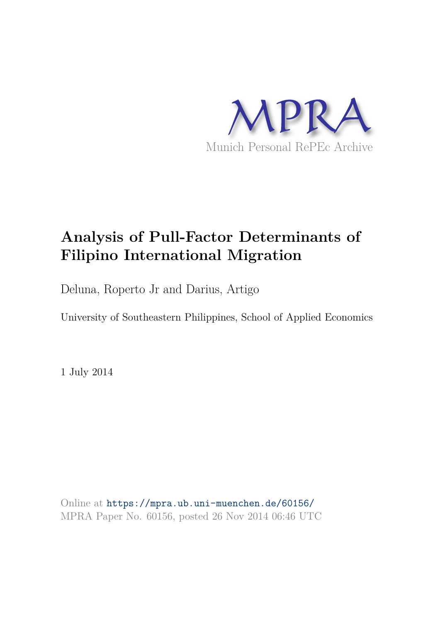

# **Analysis of Pull-Factor Determinants of Filipino International Migration**

Deluna, Roperto Jr and Darius, Artigo

University of Southeastern Philippines, School of Applied Economics

1 July 2014

Online at https://mpra.ub.uni-muenchen.de/60156/ MPRA Paper No. 60156, posted 26 Nov 2014 06:46 UTC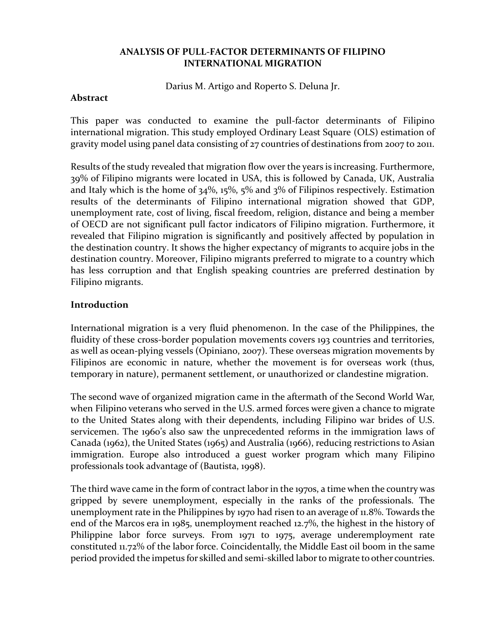# **ANALYSIS OF PULL-FACTOR DETERMINANTS OF FILIPINO INTERNATIONAL MIGRATION**

Darius M. Artigo and Roperto S. Deluna Jr.

### **Abstract**

This paper was conducted to examine the pull-factor determinants of Filipino international migration. This study employed Ordinary Least Square (OLS) estimation of gravity model using panel data consisting of 27 countries of destinations from 2007 to 2011.

Results of the study revealed that migration flow over the years is increasing. Furthermore, 39% of Filipino migrants were located in USA, this is followed by Canada, UK, Australia and Italy which is the home of  $34\%$ ,  $15\%$ ,  $5\%$  and  $3\%$  of Filipinos respectively. Estimation results of the determinants of Filipino international migration showed that GDP, unemployment rate, cost of living, fiscal freedom, religion, distance and being a member of OECD are not significant pull factor indicators of Filipino migration. Furthermore, it revealed that Filipino migration is significantly and positively affected by population in the destination country. It shows the higher expectancy of migrants to acquire jobs in the destination country. Moreover, Filipino migrants preferred to migrate to a country which has less corruption and that English speaking countries are preferred destination by Filipino migrants.

# **Introduction**

International migration is a very fluid phenomenon. In the case of the Philippines, the fluidity of these cross-border population movements covers 193 countries and territories, as well as ocean-plying vessels (Opiniano, 2007). These overseas migration movements by Filipinos are economic in nature, whether the movement is for overseas work (thus, temporary in nature), permanent settlement, or unauthorized or clandestine migration.

The second wave of organized migration came in the aftermath of the Second World War, when Filipino veterans who served in the U.S. armed forces were given a chance to migrate to the United States along with their dependents, including Filipino war brides of U.S. servicemen. The 1960's also saw the unprecedented reforms in the immigration laws of Canada (1962), the United States (1965) and Australia (1966), reducing restrictions to Asian immigration. Europe also introduced a guest worker program which many Filipino professionals took advantage of (Bautista, 1998).

The third wave came in the form of contract labor in the 1970s, a time when the country was gripped by severe unemployment, especially in the ranks of the professionals. The unemployment rate in the Philippines by 1970 had risen to an average of 11.8%. Towards the end of the Marcos era in 1985, unemployment reached 12.7%, the highest in the history of Philippine labor force surveys. From 1971 to 1975, average underemployment rate constituted 11.72% of the labor force. Coincidentally, the Middle East oil boom in the same period provided the impetus for skilled and semi-skilled labor to migrate to other countries.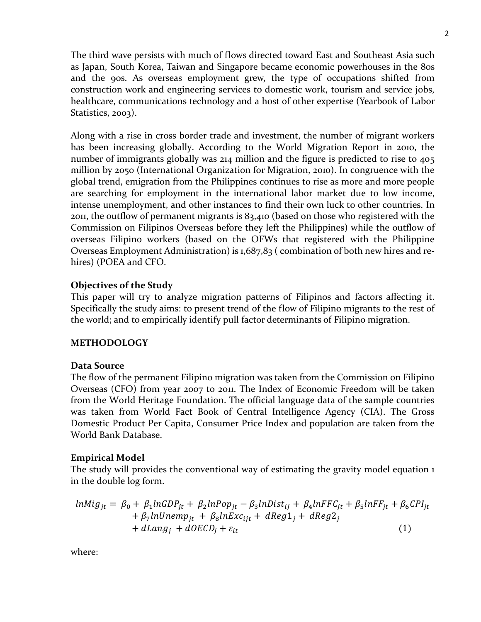The third wave persists with much of flows directed toward East and Southeast Asia such as Japan, South Korea, Taiwan and Singapore became economic powerhouses in the 80s and the 90s. As overseas employment grew, the type of occupations shifted from construction work and engineering services to domestic work, tourism and service jobs, healthcare, communications technology and a host of other expertise (Yearbook of Labor Statistics, 2003).

Along with a rise in cross border trade and investment, the number of migrant workers has been increasing globally. According to the World Migration Report in 2010, the number of immigrants globally was 214 million and the figure is predicted to rise to 405 million by 2050 (International Organization for Migration, 2010). In congruence with the global trend, emigration from the Philippines continues to rise as more and more people are searching for employment in the international labor market due to low income, intense unemployment, and other instances to find their own luck to other countries. In 2011, the outflow of permanent migrants is 83,410 (based on those who registered with the Commission on Filipinos Overseas before they left the Philippines) while the outflow of overseas Filipino workers (based on the OFWs that registered with the Philippine Overseas Employment Administration) is 1,687,83 ( combination of both new hires and rehires) (POEA and CFO.

# **Objectives of the Study**

This paper will try to analyze migration patterns of Filipinos and factors affecting it. Specifically the study aims: to present trend of the flow of Filipino migrants to the rest of the world; and to empirically identify pull factor determinants of Filipino migration.

# **METHODOLOGY**

# **Data Source**

The flow of the permanent Filipino migration was taken from the Commission on Filipino Overseas (CFO) from year 2007 to 2011. The Index of Economic Freedom will be taken from the World Heritage Foundation. The official language data of the sample countries was taken from World Fact Book of Central Intelligence Agency (CIA). The Gross Domestic Product Per Capita, Consumer Price Index and population are taken from the World Bank Database.

# **Empirical Model**

The study will provides the conventional way of estimating the gravity model equation 1 in the double log form.

$$
lnMig_{jt} = \beta_0 + \beta_1 lnGDP_{jt} + \beta_2 lnPop_{jt} - \beta_3 lnDist_{ij} + \beta_4 lnFFC_{jt} + \beta_5 lnFF_{jt} + \beta_6 CPI_{jt} + \beta_7 lnUnemp_{jt} + \beta_8 lnExc_{ijt} + dReg1_j + dReg2_j + dLang_j + dOECD_j + \varepsilon_{it}
$$
\n(1)

where: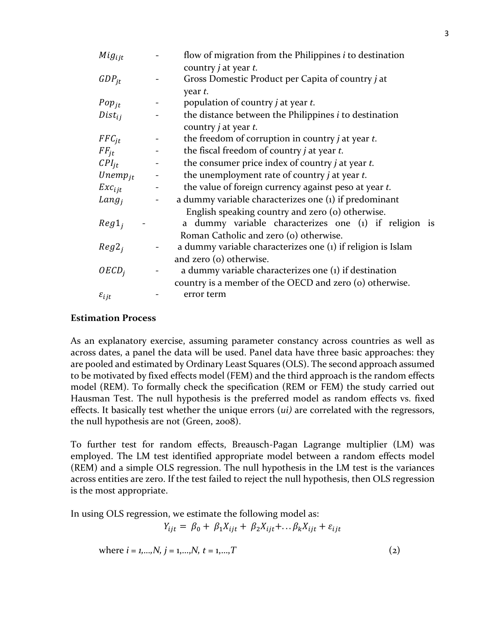| $Mig_{ijt}$         |                | flow of migration from the Philippines $i$ to destination    |
|---------------------|----------------|--------------------------------------------------------------|
|                     |                | country <i>j</i> at year <i>t</i> .                          |
| $GDP_{it}$          |                | Gross Domestic Product per Capita of country j at            |
|                     |                | year t.                                                      |
| $Pop_{jt}$          |                | population of country <i>j</i> at year <i>t</i> .            |
| $Dist_{ii}$         |                | the distance between the Philippines <i>i</i> to destination |
|                     |                | country $j$ at year $t$ .                                    |
| $FFC_{it}$          | $\blacksquare$ | the freedom of corruption in country $j$ at year $t$ .       |
| $FF_{it}$           |                | the fiscal freedom of country <i>j</i> at year <i>t</i> .    |
| $CPI_{it}$          |                | the consumer price index of country $j$ at year $t$ .        |
| $Unemp_{jt}$        |                | the unemployment rate of country <i>j</i> at year <i>t</i> . |
| $Exc_{i\,it}$       | $\equiv$       | the value of foreign currency against peso at year t.        |
| $Lang_i$            |                | a dummy variable characterizes one (1) if predominant        |
|                     |                | English speaking country and zero (o) otherwise.             |
| $Reg1_i$            |                | a dummy variable characterizes one (1) if religion is        |
|                     |                | Roman Catholic and zero (o) otherwise.                       |
| $Reg2_i$            |                | a dummy variable characterizes one (1) if religion is Islam  |
|                     |                | and zero (o) otherwise.                                      |
| OECD <sub>i</sub>   |                | a dummy variable characterizes one $(i)$ if destination      |
|                     |                | country is a member of the OECD and zero (o) otherwise.      |
| $\varepsilon_{ijt}$ |                | error term                                                   |
|                     |                |                                                              |

# **Estimation Process**

As an explanatory exercise, assuming parameter constancy across countries as well as across dates, a panel the data will be used. Panel data have three basic approaches: they are pooled and estimated by Ordinary Least Squares (OLS). The second approach assumed to be motivated by fixed effects model (FEM) and the third approach is the random effects model (REM). To formally check the specification (REM or FEM) the study carried out Hausman Test. The null hypothesis is the preferred model as random effects vs. fixed effects. It basically test whether the unique errors (*ui)* are correlated with the regressors, the null hypothesis are not (Green, 2008).

To further test for random effects, Breausch-Pagan Lagrange multiplier (LM) was employed. The LM test identified appropriate model between a random effects model (REM) and a simple OLS regression. The null hypothesis in the LM test is the variances across entities are zero. If the test failed to reject the null hypothesis, then OLS regression is the most appropriate.

In using OLS regression, we estimate the following model as:

 $Y_{iit} = \beta_0 + \beta_1 X_{iit} + \beta_2 X_{iit} + \dots \beta_k X_{iit} + \varepsilon_{iit}$ 

where  $i = 1, \ldots, N$ ,  $j = 1, \ldots, N$ ,  $t = 1, \ldots, T$  (2)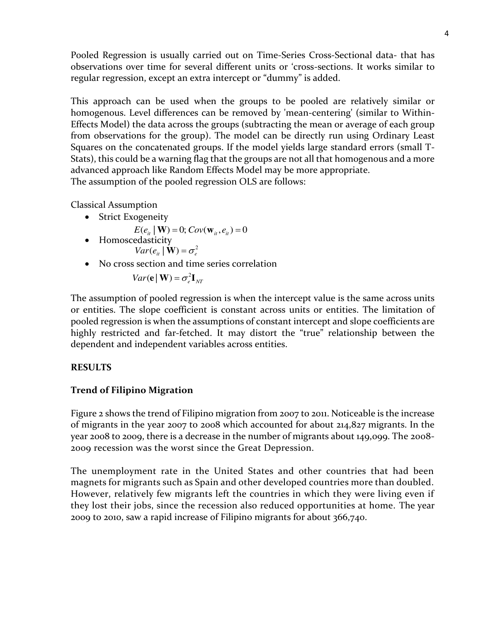Pooled Regression is usually carried out on Time-Series Cross-Sectional data- that has observations over time for several different units or 'cross-sections. It works similar to regular regression, except an extra intercept or "dummy" is added.

This approach can be used when the groups to be pooled are relatively similar or homogenous. Level differences can be removed by 'mean-centering' (similar to Within-Effects Model) the data across the groups (subtracting the mean or average of each group from observations for the group). The model can be directly run using Ordinary Least Squares on the concatenated groups. If the model yields large standard errors (small T-Stats), this could be a warning flag that the groups are not all that homogenous and a more advanced approach like Random Effects Model may be more appropriate. The assumption of the pooled regression OLS are follows:

Classical Assumption

• Strict Exogeneity

$$
E(e_{it} | \mathbf{W}) = 0; Cov(\mathbf{w}_{it}, e_{it}) = 0
$$

- Homoscedasticity  $Var(e_{it} | \mathbf{W}) = \sigma_e^2$
- No cross section and time series correlation

$$
Var(\mathbf{e} | \mathbf{W}) = \sigma_e^2 \mathbf{I}_{NT}
$$

The assumption of pooled regression is when the intercept value is the same across units or entities. The slope coefficient is constant across units or entities. The limitation of pooled regression is when the assumptions of constant intercept and slope coefficients are highly restricted and far-fetched. It may distort the "true" relationship between the dependent and independent variables across entities.

# **RESULTS**

# **Trend of Filipino Migration**

Figure 2 shows the trend of Filipino migration from 2007 to 2011. Noticeable is the increase of migrants in the year 2007 to 2008 which accounted for about 214,827 migrants. In the year 2008 to 2009, there is a decrease in the number of migrants about 149,099. The 2008- 2009 recession was the worst since the Great Depression.

The unemployment rate in the United States and other countries that had been magnets for migrants such as Spain and other developed countries more than doubled. However, relatively few migrants left the countries in which they were living even if they lost their jobs, since the recession also reduced opportunities at home. The year 2009 to 2010, saw a rapid increase of Filipino migrants for about 366,740.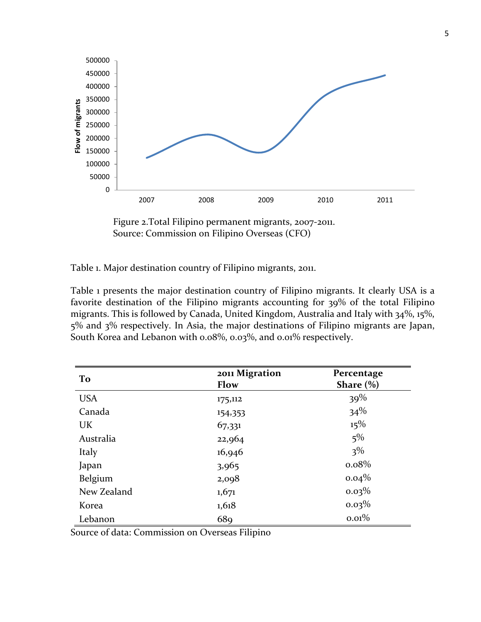



Table 1. Major destination country of Filipino migrants, 2011.

Table 1 presents the major destination country of Filipino migrants. It clearly USA is a favorite destination of the Filipino migrants accounting for 39% of the total Filipino migrants. This is followed by Canada, United Kingdom, Australia and Italy with 34%, 15%, 5% and 3% respectively. In Asia, the major destinations of Filipino migrants are Japan, South Korea and Lebanon with 0.08%, 0.03%, and 0.01% respectively.

| To          | 2011 Migration<br>Flow | Percentage<br>Share $(\% )$ |
|-------------|------------------------|-----------------------------|
| <b>USA</b>  | 175,112                | 39%                         |
| Canada      | 154,353                | 34%                         |
| UK          | 67,331                 | 15%                         |
| Australia   | 22,964                 | $5\%$                       |
| Italy       | 16,946                 | $3\%$                       |
| Japan       | 3,965                  | $0.08\%$                    |
| Belgium     | 2,098                  | $0.04\%$                    |
| New Zealand | 1,671                  | $0.03\%$                    |
| Korea       | 1,618                  | $0.03\%$                    |
| Lebanon     | 68 <sub>9</sub>        | 0.01%                       |

Source of data: Commission on Overseas Filipino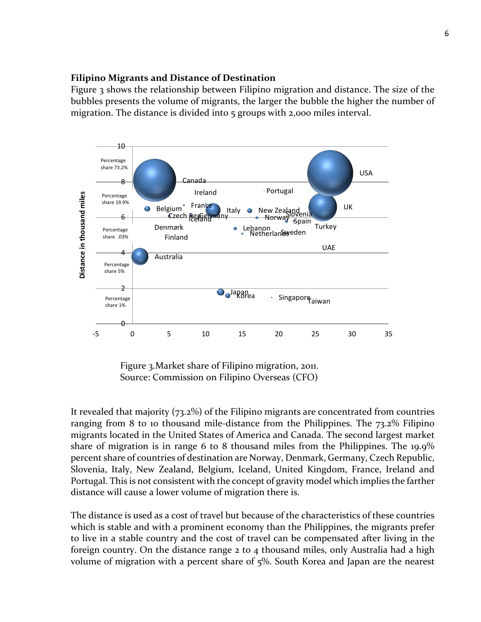### **Filipino Migrants and Distance of Destination**

Figure 3 shows the relationship between Filipino migration and distance. The size of the bubbles presents the volume of migrants, the larger the bubble the higher the number of migration. The distance is divided into 5 groups with 2,000 miles interval.



Figure 3.Market share of Filipino migration, 2011. Source: Commission on Filipino Overseas (CFO)

It revealed that majority (73.2%) of the Filipino migrants are concentrated from countries ranging from 8 to 10 thousand mile-distance from the Philippines. The 73.2% Filipino migrants located in the United States of America and Canada. The second largest market share of migration is in range 6 to 8 thousand miles from the Philippines. The 19.9% percent share of countries of destination are Norway, Denmark, Germany, Czech Republic, Slovenia, Italy, New Zealand, Belgium, Iceland, United Kingdom, France, Ireland and Portugal. This is not consistent with the concept of gravity model which implies the farther distance will cause a lower volume of migration there is.

The distance is used as a cost of travel but because of the characteristics of these countries which is stable and with a prominent economy than the Philippines, the migrants prefer to live in a stable country and the cost of travel can be compensated after living in the foreign country. On the distance range  $2$  to  $4$  thousand miles, only Australia had a high volume of migration with a percent share of 5%. South Korea and Japan are the nearest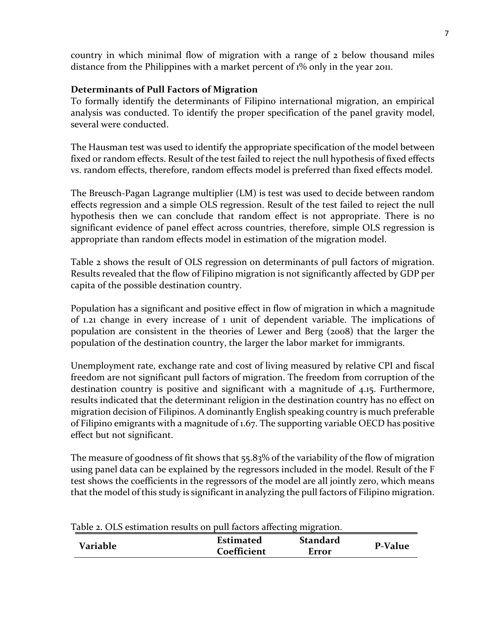country in which minimal flow of migration with a range of 2 below thousand miles distance from the Philippines with a market percent of 1% only in the year 2011.

# **Determinants of Pull Factors of Migration**

To formally identify the determinants of Filipino international migration, an empirical analysis was conducted. To identify the proper specification of the panel gravity model, several were conducted.

The Hausman test was used to identify the appropriate specification of the model between fixed or random effects. Result of the test failed to reject the null hypothesis of fixed effects vs. random effects, therefore, random effects model is preferred than fixed effects model.

The Breusch-Pagan Lagrange multiplier (LM) is test was used to decide between random effects regression and a simple OLS regression. Result of the test failed to reject the null hypothesis then we can conclude that random effect is not appropriate. There is no significant evidence of panel effect across countries, therefore, simple OLS regression is appropriate than random effects model in estimation of the migration model.

Table 2 shows the result of OLS regression on determinants of pull factors of migration. Results revealed that the flow of Filipino migration is not significantly affected by GDP per capita of the possible destination country.

Population has a significant and positive effect in flow of migration in which a magnitude of 1.21 change in every increase of 1 unit of dependent variable. The implications of population are consistent in the theories of Lewer and Berg (2008) that the larger the population of the destination country, the larger the labor market for immigrants.

Unemployment rate, exchange rate and cost of living measured by relative CPI and fiscal freedom are not significant pull factors of migration. The freedom from corruption of the destination country is positive and significant with a magnitude of 4.15. Furthermore, results indicated that the determinant religion in the destination country has no effect on migration decision of Filipinos. A dominantly English speaking country is much preferable of Filipino emigrants with a magnitude of 1.67. The supporting variable OECD has positive effect but not significant.

The measure of goodness of fit shows that 55.83% of the variability of the flow of migration using panel data can be explained by the regressors included in the model. Result of the F test shows the coefficients in the regressors of the model are all jointly zero, which means that the model of this study is significant in analyzing the pull factors of Filipino migration.

| Table 2. Old estimation results on pun factors anceting imgration. |             |                 |                |
|--------------------------------------------------------------------|-------------|-----------------|----------------|
| Variable                                                           | Estimated   | <b>Standard</b> | <b>P-Value</b> |
|                                                                    | Coefficient | Error           |                |

Table 2. OLS estimation results on pull factors affecting migration.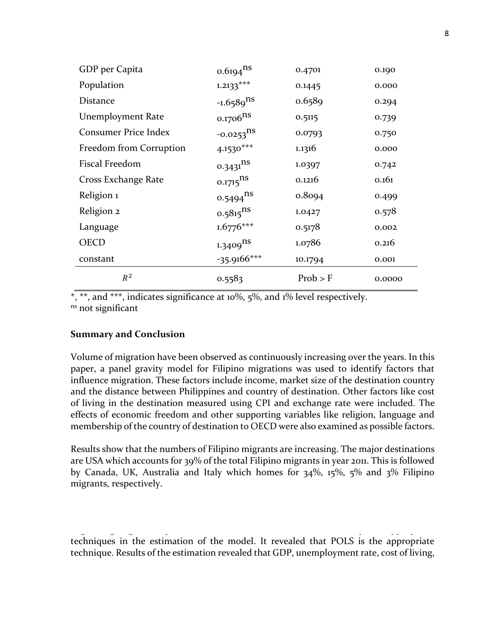| GDP per Capita              | $0.6194$ <sup>ns</sup>  | 0.4701   | 0.190  |
|-----------------------------|-------------------------|----------|--------|
| Population                  | $1.2133***$             | 0.1445   | 0.000  |
| <b>Distance</b>             | $-1.6589$ <sup>ns</sup> | 0.6589   | 0.294  |
| <b>Unemployment Rate</b>    | $0.1706$ <sup>ns</sup>  | 0.5115   | 0.739  |
| <b>Consumer Price Index</b> | $-0.0253$ <sup>ns</sup> | 0.0793   | 0.750  |
| Freedom from Corruption     | 4.1530***               | 1.1316   | 0.000  |
| Fiscal Freedom              | $0.3431$ <sup>ns</sup>  | 1.0397   | 0.742  |
| Cross Exchange Rate         | $0.1715$ <sup>ns</sup>  | 0.1216   | 0.161  |
| Religion 1                  | $0.5494$ <sup>ns</sup>  | 0.8094   | 0.499  |
| Religion 2                  | $0.5815$ <sup>ns</sup>  | 1.0427   | 0.578  |
| Language                    | $1.6776***$             | 0.5178   | 0.002  |
| <b>OECD</b>                 | $1.3409$ <sup>ns</sup>  | 1.0786   | 0.216  |
| constant                    | $-35.9166***$           | 10.1794  | 0.001  |
| $R^2$                       | 0.5583                  | Prob > F | 0.0000 |

\*, \*\*, and \*\*\*, indicates significance at 10%, 5%, and 1% level respectively. ns not significant

#### **Summary and Conclusion**

Volume of migration have been observed as continuously increasing over the years. In this paper, a panel gravity model for Filipino migrations was used to identify factors that influence migration. These factors include income, market size of the destination country and the distance between Philippines and country of destination. Other factors like cost of living in the destination measured using CPI and exchange rate were included. The effects of economic freedom and other supporting variables like religion, language and membership of the country of destination to OECD were also examined as possible factors.

Results show that the numbers of Filipino migrants are increasing. The major destinations are USA which accounts for 39% of the total Filipino migrants in year 2011. This is followed by Canada, UK, Australia and Italy which homes for 34%, 15%, 5% and 3% Filipino migrants, respectively.

Pagan Lagrange multiplier (LM). These tests were used to identify the appropriate techniques in the estimation of the model. It revealed that POLS is the appropriate technique. Results of the estimation revealed that GDP, unemployment rate, cost of living,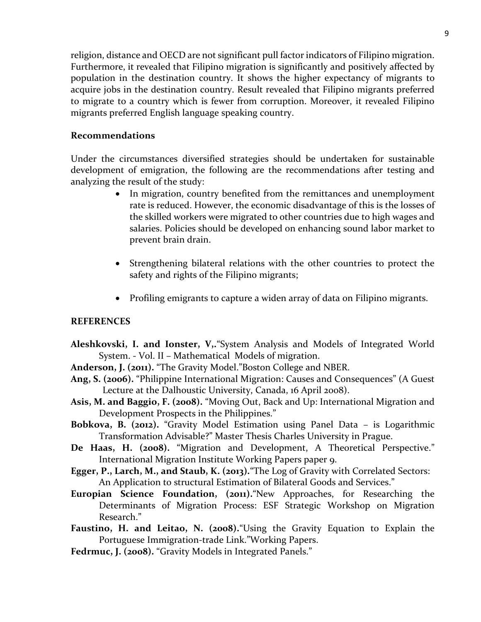religion, distance and OECD are not significant pull factor indicators of Filipino migration. Furthermore, it revealed that Filipino migration is significantly and positively affected by population in the destination country. It shows the higher expectancy of migrants to acquire jobs in the destination country. Result revealed that Filipino migrants preferred to migrate to a country which is fewer from corruption. Moreover, it revealed Filipino migrants preferred English language speaking country.

## **Recommendations**

Under the circumstances diversified strategies should be undertaken for sustainable development of emigration, the following are the recommendations after testing and analyzing the result of the study:

- In migration, country benefited from the remittances and unemployment rate is reduced. However, the economic disadvantage of this is the losses of the skilled workers were migrated to other countries due to high wages and salaries. Policies should be developed on enhancing sound labor market to prevent brain drain.
- Strengthening bilateral relations with the other countries to protect the safety and rights of the Filipino migrants;
- Profiling emigrants to capture a widen array of data on Filipino migrants.

#### **REFERENCES**

- **Aleshkovski, I. and Ionster, V,.**"System Analysis and Models of Integrated World System. - Vol. II – Mathematical Models of migration.
- **Anderson, J. (2011).** "The Gravity Model."Boston College and NBER.
- **Ang, S. (2006).** "Philippine International Migration: Causes and Consequences" (A Guest Lecture at the Dalhoustic University, Canada, 16 April 2008).
- **Asis, M. and Baggio, F. (2008).** "Moving Out, Back and Up: International Migration and Development Prospects in the Philippines."
- **Bobkova, B. (2012).** "Gravity Model Estimation using Panel Data is Logarithmic Transformation Advisable?" Master Thesis Charles University in Prague.
- **De Haas, H. (2008).** "Migration and Development, A Theoretical Perspective." International Migration Institute Working Papers paper 9.
- **Egger, P., Larch, M., and Staub, K. (2013).**"The Log of Gravity with Correlated Sectors: An Application to structural Estimation of Bilateral Goods and Services."
- **Europian Science Foundation, (2011).**"New Approaches, for Researching the Determinants of Migration Process: ESF Strategic Workshop on Migration Research."
- **Faustino, H. and Leitao, N. (2008).**"Using the Gravity Equation to Explain the Portuguese Immigration-trade Link."Working Papers.
- **Fedrmuc, J. (2008).** "Gravity Models in Integrated Panels."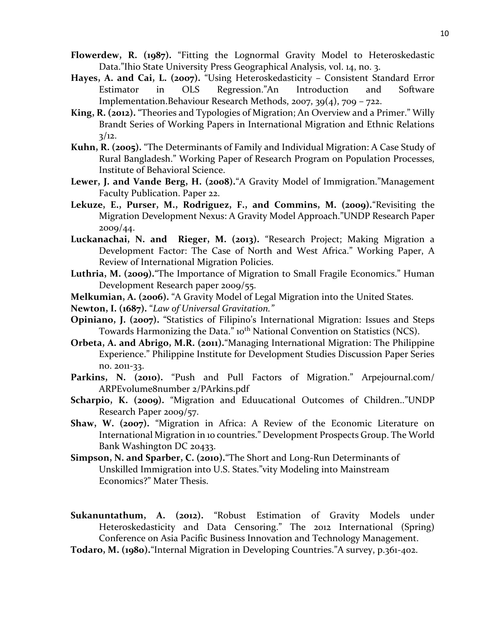- **Flowerdew, R. (1987).** "Fitting the Lognormal Gravity Model to Heteroskedastic Data."Ihio State University Press Geographical Analysis, vol. 14, no. 3.
- Hayes, A. and Cai, L. (2007). "Using Heteroskedasticity Consistent Standard Error Estimator in OLS Regression."An Introduction and Software Implementation.Behaviour Research Methods, 2007, 39(4), 709 – 722.
- **King, R. (2012).** "Theories and Typologies of Migration; An Overview and a Primer." Willy Brandt Series of Working Papers in International Migration and Ethnic Relations  $3/12.$
- **Kuhn, R. (2005).** "The Determinants of Family and Individual Migration: A Case Study of Rural Bangladesh." Working Paper of Research Program on Population Processes, Institute of Behavioral Science.
- **Lewer, J. and Vande Berg, H. (2008).**"A Gravity Model of Immigration."Management Faculty Publication. Paper 22.
- **Lekuze, E., Purser, M., Rodriguez, F., and Commins, M. (2009).**"Revisiting the Migration Development Nexus: A Gravity Model Approach."UNDP Research Paper 2009/44.
- **Luckanachai, N. and Rieger, M. (2013).** "Research Project; Making Migration a Development Factor: The Case of North and West Africa." Working Paper, A Review of International Migration Policies.
- **Luthria, M. (2009).**"The Importance of Migration to Small Fragile Economics." Human Development Research paper 2009/55.
- **Melkumian, A. (2006).** "A Gravity Model of Legal Migration into the United States.
- **Newton, I. (1687).** "*Law of Universal Gravitation."*
- **Opiniano, J. (2007).** "Statistics of Filipino's International Migration: Issues and Steps Towards Harmonizing the Data." 10<sup>th</sup> National Convention on Statistics (NCS).
- **Orbeta, A. and Abrigo, M.R. (2011).**"Managing International Migration: The Philippine Experience." Philippine Institute for Development Studies Discussion Paper Series no. 2011-33.
- **Parkins, N. (2010).** "Push and Pull Factors of Migration." Arpejournal.com/ ARPEvolume8number 2/PArkins.pdf
- **Scharpio, K. (2009).** "Migration and Eduucational Outcomes of Children.."UNDP Research Paper 2009/57.
- **Shaw, W. (2007).** "Migration in Africa: A Review of the Economic Literature on International Migration in 10 countries." Development Prospects Group. The World Bank Washington DC 20433.
- **Simpson, N. and Sparber, C. (2010).**"The Short and Long-Run Determinants of Unskilled Immigration into U.S. States."vity Modeling into Mainstream Economics?" Mater Thesis.

Sukanuntathum, A. (2012). "Robust Estimation of Gravity Models under Heteroskedasticity and Data Censoring." The 2012 International (Spring) Conference on Asia Pacific Business Innovation and Technology Management.

Todaro, M. (1980). "Internal Migration in Developing Countries."A survey, p.361-402.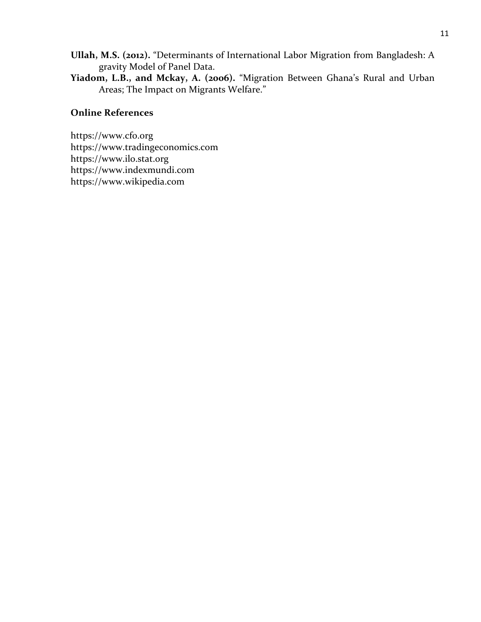- **Ullah, M.S. (2012).** "Determinants of International Labor Migration from Bangladesh: A gravity Model of Panel Data.
- **Yiadom, L.B., and Mckay, A. (2006).** "Migration Between Ghana's Rural and Urban Areas; The Impact on Migrants Welfare."

## **Online References**

[https://www.cfo.org](https://www.cfo.org/)  [https://www.tradingeconomics.com](https://www.tradingeconomics.com/)  [https://www.ilo.stat.org](https://www.ilo.stat.org/)  [https://www.indexmundi.com](https://www.indexmundi.com/)  [https://www.wikipedia.com](https://www.wikipedia.com/)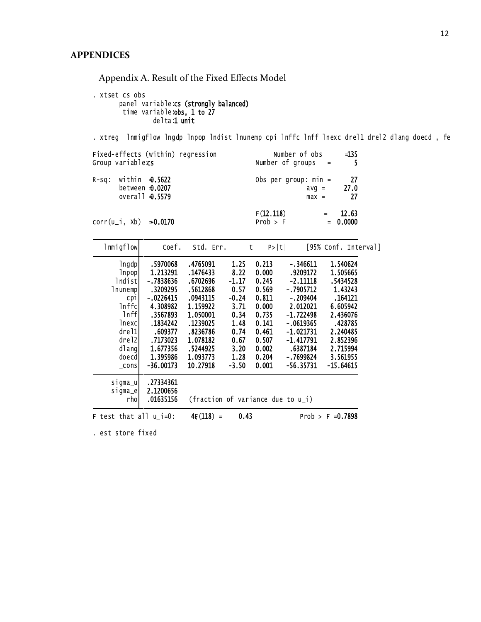Appendix A. Result of the Fixed Effects Model

 delta: 1 unit time variable:**obs, 1 to 27** panel variable**:cs (strongly balanced)** . xtset cs obs

. xtreg lnmigflow lngdp lnpop lndist lnunemp cpi lnffc lnff lnexc drel1 drel2 dlang doecd , fe

| Fixed-effects (within) regression     | Number of obs          | $=135$              |
|---------------------------------------|------------------------|---------------------|
| Group variablexs                      | Number of groups $=$   | - 5                 |
| $R-Sq$ : within $\triangleq$ .5622    | Obs per group: $min =$ | - 27                |
| between $\textbf{\textsterling}.0207$ | $avq =$                | 27.0                |
| overall <b>0.5579</b>                 | $max =$                | -27                 |
| $corr(u_i, xb) = 0.0170$              | F(12, 118)<br>Prob > F | 12.63<br>$= 0.0000$ |

| 1nmigflow                                                                                                                                   | Coef.                                                                                                                                                          | Std. Err.                                                                                                                                                |                                                                                                               | P> t <br>$\mathsf{t}$                                                                                             |                                                                                                                                                                                 | [95% Conf. Interval]                                                                                                                                     |
|---------------------------------------------------------------------------------------------------------------------------------------------|----------------------------------------------------------------------------------------------------------------------------------------------------------------|----------------------------------------------------------------------------------------------------------------------------------------------------------|---------------------------------------------------------------------------------------------------------------|-------------------------------------------------------------------------------------------------------------------|---------------------------------------------------------------------------------------------------------------------------------------------------------------------------------|----------------------------------------------------------------------------------------------------------------------------------------------------------|
| $\lfloor$ ngdp $\rfloor$<br>Inpopl<br>Indist<br>Inunempl<br>срі<br>Inffc<br>lnff<br>lnexcl<br>drel1<br>drel2<br>dlang<br>doecd <br>$\_cons$ | .5970068<br>1.213291<br>- 7838636<br>.3209295<br>$-.0226415$<br>4.308982<br>.3567893<br>.1834242<br>.609377<br>.7173023<br>1.677356<br>1.395986<br>$-36.00173$ | .4765091<br>.1476433<br>.6702696<br>.5612868<br>.0943115<br>1.159922<br>1.050001<br>.1239025<br>.8236786<br>1.078182<br>.5244925<br>1.093773<br>10.27918 | 1.25<br>8.22<br>$-1.17$<br>0.57<br>$-0.24$<br>3.71<br>0.34<br>1.48<br>0.74<br>0.67<br>3.20<br>1.28<br>$-3.50$ | 0.213<br>0.000<br>0.245<br>0.569<br>0.811<br>0.000<br>0.735<br>0.141<br>0.461<br>0.507<br>0.002<br>0.204<br>0.001 | $-.346611$<br>.9209172<br>$-2.11118$<br>-.7905712<br>$-.209404$<br>2.012021<br>$-1.722498$<br>$-.0619365$<br>$-1.021731$<br>$-1.417791$<br>.6387184<br>- 7699824<br>$-56.35731$ | 1.540624<br>1.505665<br>.5434528<br>1.43243<br>.164121<br>6.605942<br>2.436076<br>.428785<br>2.240485<br>2.852396<br>2.715994<br>3.561955<br>$-15.64615$ |
| sigma_u<br>sigma_e<br>rhol<br>F test that all $u_i=0$ :                                                                                     | .27334361<br>2.1200656<br>.01635156                                                                                                                            | (fraction of variance due to u_i)<br>$4F(118) =$                                                                                                         | 0.43                                                                                                          |                                                                                                                   |                                                                                                                                                                                 | Prob > $F = 0.7898$                                                                                                                                      |

. est store fixed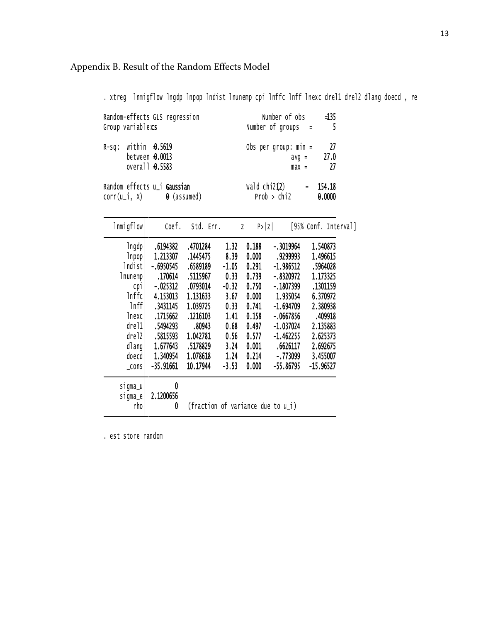# Appendix B. Result of the Random Effects Model

. xtreg lnmigflow lngdp lnpop lndist lnunemp cpi lnffc lnff lnexc drel1 drel2 dlang doecd , re

| Random-effects GLS regression<br>Group variablexs |                                                                      | Number of obs<br>$=135$<br>Number of groups $=$<br>$-5$          |  |                               |             |                    |                     |
|---------------------------------------------------|----------------------------------------------------------------------|------------------------------------------------------------------|--|-------------------------------|-------------|--------------------|---------------------|
|                                                   | $R-Sq$ : within $\theta$ .5619<br>between 0.0013<br>overall $0.5583$ |                                                                  |  | Obs per group: $min =$        |             | $avg =$<br>$max =$ | - 27<br>27.0<br>-27 |
|                                                   |                                                                      | Random effects u_i Gaussian<br>$corr(u_i, x)$ $\theta$ (assumed) |  | wald $\text{chi212}$ = 154.18 | Prob > chi2 |                    | 0.0000              |

| Inmigflow         | Coef.       | Std. Err.                         |         | P >  Z <br>Z |             | [95% Conf. Interval] |
|-------------------|-------------|-----------------------------------|---------|--------------|-------------|----------------------|
| 1ngdp             | .6194382    | .4701284                          | 1.32    | 0.188        | $-.3019964$ | 1.540873             |
| Inpop             | 1.213307    | .1445475                          | 8.39    | 0.000        | .9299993    | 1.496615             |
| Indist            | $-.6950545$ | .6589189                          | $-1.05$ | 0.291        | $-1.986512$ | .5964028             |
| Inunemp           | .170614     | .5115967                          | 0.33    | 0.739        | $-.8320972$ | 1.173325             |
| срі               | $-.025312$  | .0793014                          | $-0.32$ | 0.750        | $-1807399$  | .1301159             |
| Inffc             | 4.153013    | 1.131633                          | 3.67    | 0.000        | 1.935054    | 6.370972             |
| lnff              | .3431145    | 1.039725                          | 0.33    | 0.741        | $-1.694709$ | 2.380938             |
| <b>lnexcl</b>     | .1715662    | .1216103                          | 1.41    | 0.158        | $-.0667856$ | .409918              |
| dre <sub>11</sub> | .5494293    | .80943                            | 0.68    | 0.497        | $-1.037024$ | 2.135883             |
| drel2             | .5815593    | 1.042781                          | 0.56    | 0.577        | $-1.462255$ | 2.625373             |
| dlang             | 1.677643    | .5178829                          | 3.24    | 0.001        | .6626117    | 2.692675             |
| doecd             | 1.340954    | 1.078618                          | 1.24    | 0.214        | $-0.773099$ | 3.455007             |
| $\lfloor$ CONS    | $-35.91661$ | 10.17944                          | $-3.53$ | 0.000        | $-55.86795$ | $-15.96527$          |
| sigma_u           | 0           |                                   |         |              |             |                      |
| sigma_e           | 2.1200656   |                                   |         |              |             |                      |
| rho               | 0           | (fraction of variance due to u_i) |         |              |             |                      |

. est store random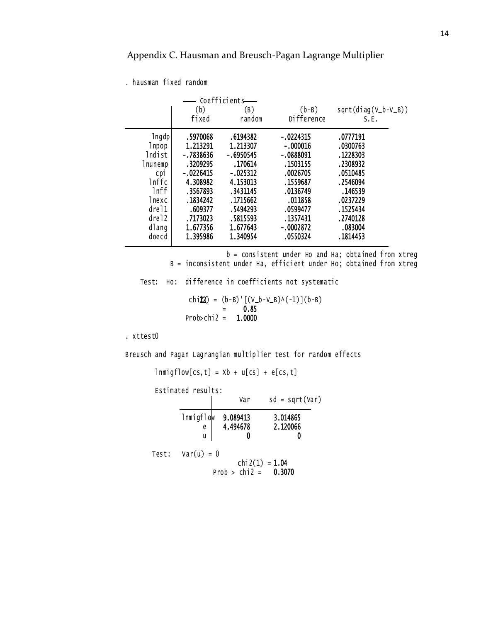## Appendix C. Hausman and Breusch-Pagan Lagrange Multiplier

. hausman fixed random

|                |             | Coefficients |             |                       |
|----------------|-------------|--------------|-------------|-----------------------|
|                | (b)         | (B)          | $(b-B)$     | $sqrt(diag(V_b-V_B))$ |
|                | fixed       | random       | Difference  | S.E.                  |
| 1ngdp          | .5970068    | .6194382     | $-.0224315$ | .0777191              |
| lnpop          | 1.213291    | 1.213307     | $-.000016$  | .0300763              |
| lndist         | -.7838636   | $-.6950545$  | $-.0888091$ | .1228303              |
| lnunemp        | .3209295    | .170614      | .1503155    | .2308932              |
| C <sub>p</sub> | $-.0226415$ | $-.025312$   | .0026705    | .0510485              |
| lnffc          | 4.308982    | 4.153013     | .1559687    | .2546094              |
| 1nff           | .3567893    | .3431145     | .0136749    | .146539               |
| lnexc          | .1834242    | .1715662     | .011858     | .0237229              |
| drel1          | .609377     | .5494293     | .0599477    | .1525434              |
| drel2          | .7173023    | .5815593     | .1357431    | .2740128              |
| dlang          | 1.677356    | 1.677643     | $-.0002872$ | .083004               |
| doecd          | 1.395986    | 1.340954     | .0550324    | .1814453              |

 B = inconsistent under Ha, efficient under Ho; obtained from xtreg b = consistent under Ho and Ha; obtained from xtreg

Test: Ho: difference in coefficients not systematic

 $Prob > chi2 = 1.0000$  = 0.85 chi22) =  $(b - B)'$ [(V\_b-V\_B)^(-1)](b-B)

. xttest0

Breusch and Pagan Lagrangian multiplier test for random effects

 $lmmigflow[cs,t] = Xb + u[cs] + e[cs,t]$ 

Estimated results:

| Estimated results:  | Var                  | $sd = sqrt(Var)$     |  |
|---------------------|----------------------|----------------------|--|
| lnmigflow<br>е<br>u | 9.089413<br>4.494678 | 3.014865<br>2.120066 |  |
| Test: $Var(u) = 0$  |                      |                      |  |

Prob >  $chi2 = 0.3070$  $chi2(1) = 1.04$